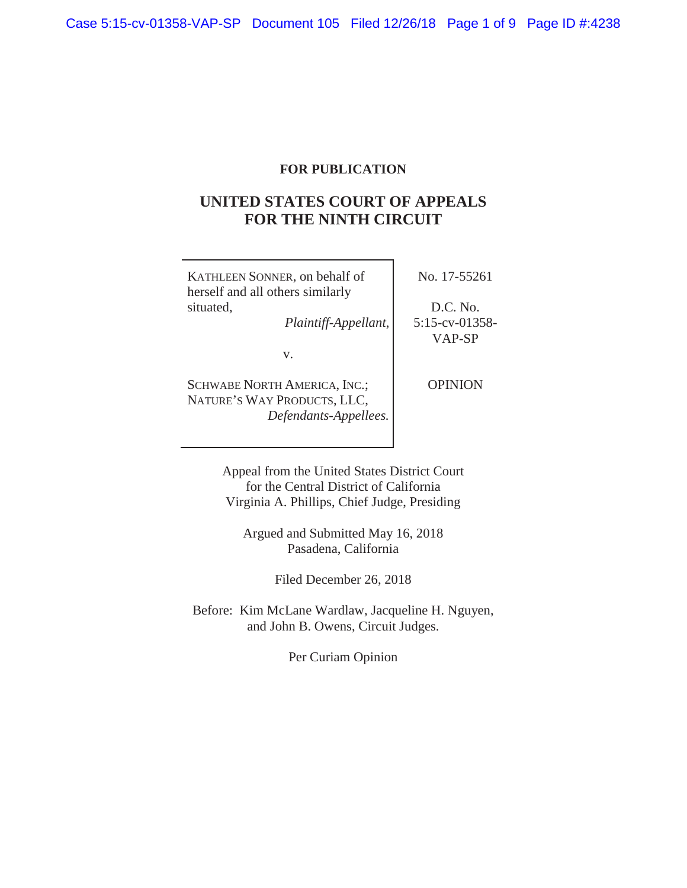## **FOR PUBLICATION**

# **UNITED STATES COURT OF APPEALS FOR THE NINTH CIRCUIT**

| KATHLEEN SONNER, on behalf of<br>herself and all others similarly                           | No. 17-55261                |
|---------------------------------------------------------------------------------------------|-----------------------------|
| situated,                                                                                   | D.C. No.                    |
| Plaintiff-Appellant,                                                                        | $5:15$ -cv-01358-<br>VAP-SP |
| V.                                                                                          |                             |
| <b>SCHWABE NORTH AMERICA, INC.;</b><br>NATURE'S WAY PRODUCTS, LLC,<br>Defendants-Appellees. | <b>OPINION</b>              |
|                                                                                             |                             |

Appeal from the United States District Court for the Central District of California Virginia A. Phillips, Chief Judge, Presiding

Argued and Submitted May 16, 2018 Pasadena, California

Filed December 26, 2018

Before: Kim McLane Wardlaw, Jacqueline H. Nguyen, and John B. Owens, Circuit Judges.

Per Curiam Opinion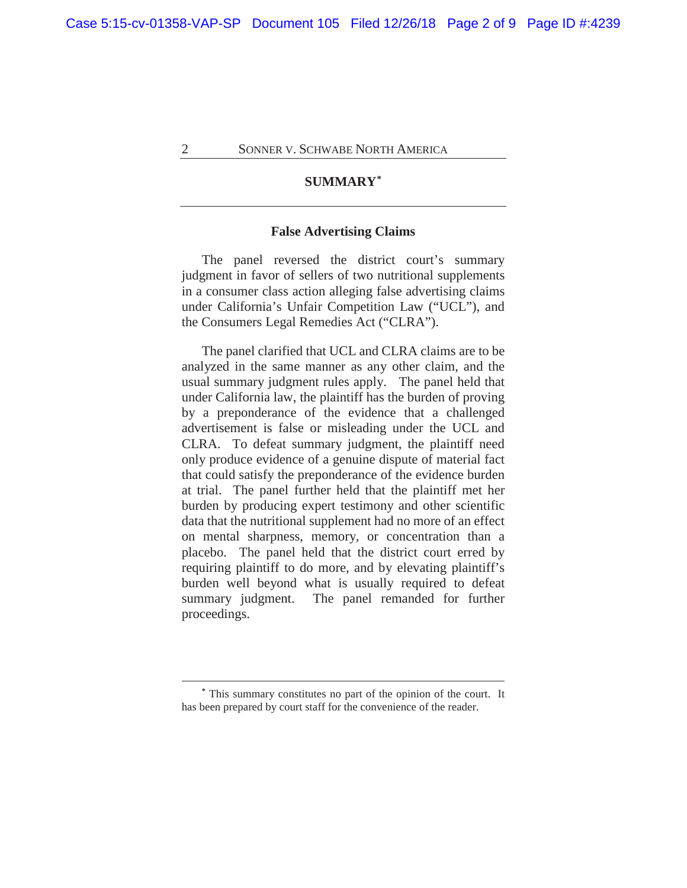## **SUMMARY\***

### **False Advertising Claims**

The panel reversed the district court's summary judgment in favor of sellers of two nutritional supplements in a consumer class action alleging false advertising claims under California's Unfair Competition Law ("UCL"), and the Consumers Legal Remedies Act ("CLRA").

The panel clarified that UCL and CLRA claims are to be analyzed in the same manner as any other claim, and the usual summary judgment rules apply. The panel held that under California law, the plaintiff has the burden of proving by a preponderance of the evidence that a challenged advertisement is false or misleading under the UCL and CLRA. To defeat summary judgment, the plaintiff need only produce evidence of a genuine dispute of material fact that could satisfy the preponderance of the evidence burden at trial. The panel further held that the plaintiff met her burden by producing expert testimony and other scientific data that the nutritional supplement had no more of an effect on mental sharpness, memory, or concentration than a placebo. The panel held that the district court erred by requiring plaintiff to do more, and by elevating plaintiff's burden well beyond what is usually required to defeat summary judgment. The panel remanded for further proceedings.

**<sup>\*</sup>** This summary constitutes no part of the opinion of the court. It has been prepared by court staff for the convenience of the reader.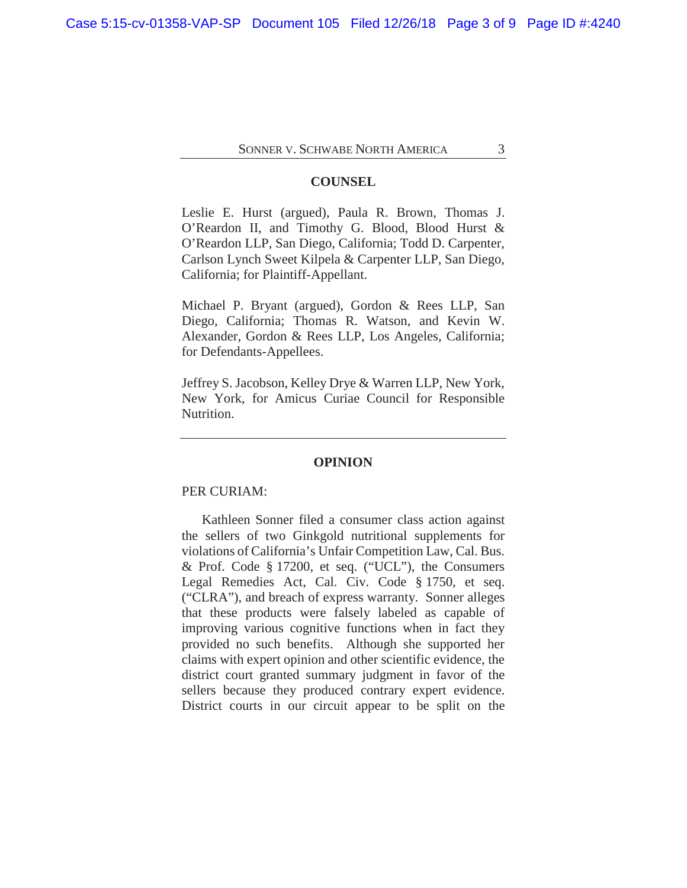#### **COUNSEL**

Leslie E. Hurst (argued), Paula R. Brown, Thomas J. O'Reardon II, and Timothy G. Blood, Blood Hurst & O'Reardon LLP, San Diego, California; Todd D. Carpenter, Carlson Lynch Sweet Kilpela & Carpenter LLP, San Diego, California; for Plaintiff-Appellant.

Michael P. Bryant (argued), Gordon & Rees LLP, San Diego, California; Thomas R. Watson, and Kevin W. Alexander, Gordon & Rees LLP, Los Angeles, California; for Defendants-Appellees.

Jeffrey S. Jacobson, Kelley Drye & Warren LLP, New York, New York, for Amicus Curiae Council for Responsible Nutrition.

#### **OPINION**

#### PER CURIAM:

Kathleen Sonner filed a consumer class action against the sellers of two Ginkgold nutritional supplements for violations of California's Unfair Competition Law, Cal. Bus. & Prof. Code § 17200, et seq. ("UCL"), the Consumers Legal Remedies Act, Cal. Civ. Code § 1750, et seq. ("CLRA"), and breach of express warranty. Sonner alleges that these products were falsely labeled as capable of improving various cognitive functions when in fact they provided no such benefits. Although she supported her claims with expert opinion and other scientific evidence, the district court granted summary judgment in favor of the sellers because they produced contrary expert evidence. District courts in our circuit appear to be split on the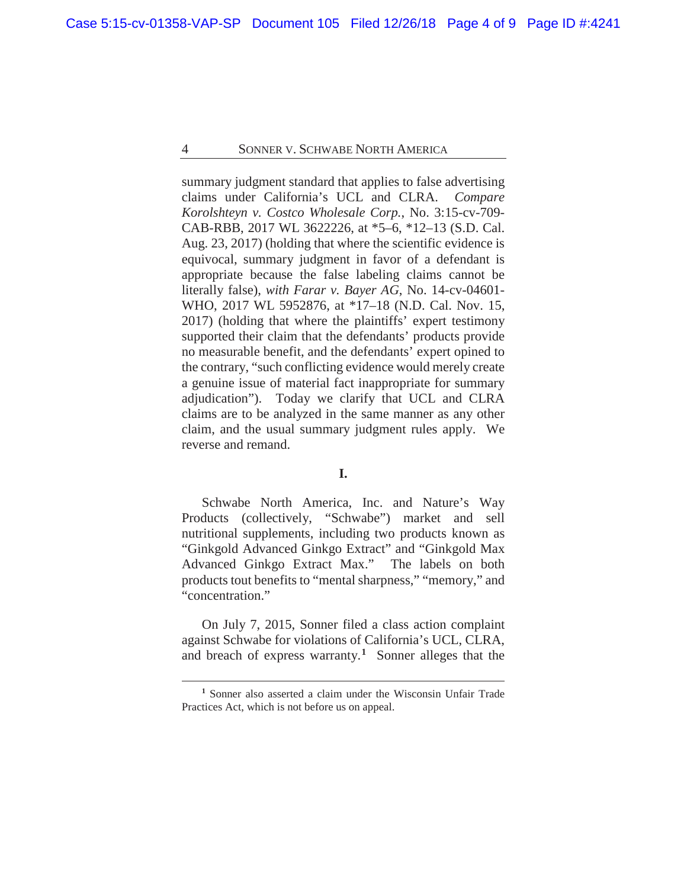summary judgment standard that applies to false advertising claims under California's UCL and CLRA. *Compare Korolshteyn v. Costco Wholesale Corp.*, No. 3:15-cv-709- CAB-RBB, 2017 WL 3622226, at \*5–6, \*12–13 (S.D. Cal. Aug. 23, 2017) (holding that where the scientific evidence is equivocal, summary judgment in favor of a defendant is appropriate because the false labeling claims cannot be literally false), *with Farar v. Bayer AG*, No. 14-cv-04601- WHO, 2017 WL 5952876, at \*17–18 (N.D. Cal. Nov. 15, 2017) (holding that where the plaintiffs' expert testimony supported their claim that the defendants' products provide no measurable benefit, and the defendants' expert opined to the contrary, "such conflicting evidence would merely create a genuine issue of material fact inappropriate for summary adjudication"). Today we clarify that UCL and CLRA claims are to be analyzed in the same manner as any other claim, and the usual summary judgment rules apply. We reverse and remand.

#### **I.**

Schwabe North America, Inc. and Nature's Way Products (collectively, "Schwabe") market and sell nutritional supplements, including two products known as "Ginkgold Advanced Ginkgo Extract" and "Ginkgold Max Advanced Ginkgo Extract Max." The labels on both products tout benefits to "mental sharpness," "memory," and "concentration."

On July 7, 2015, Sonner filed a class action complaint against Schwabe for violations of California's UCL, CLRA, and breach of express warranty.**<sup>1</sup>** Sonner alleges that the

**<sup>1</sup>** Sonner also asserted a claim under the Wisconsin Unfair Trade Practices Act, which is not before us on appeal.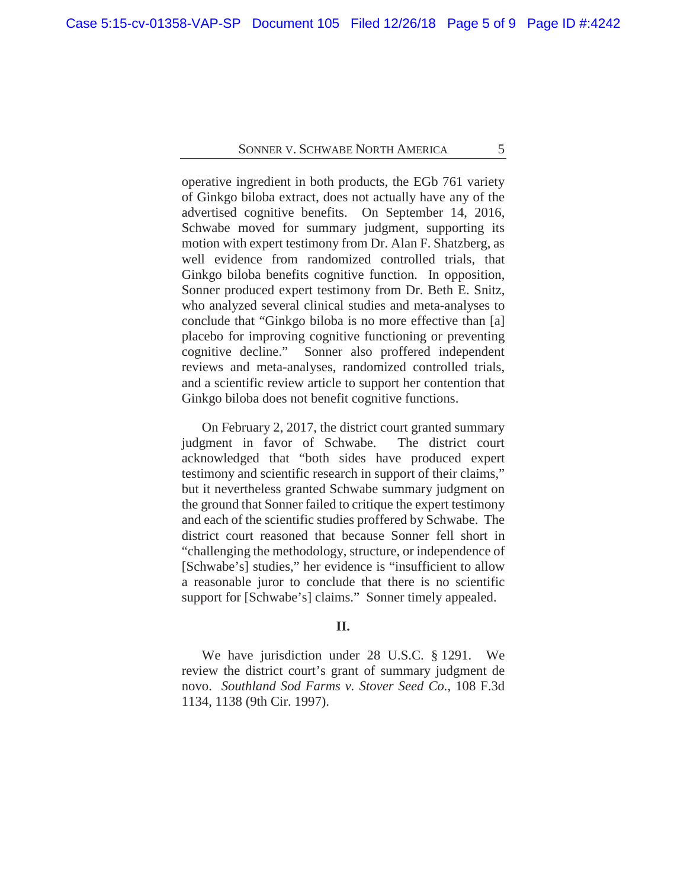operative ingredient in both products, the EGb 761 variety of Ginkgo biloba extract, does not actually have any of the advertised cognitive benefits. On September 14, 2016, Schwabe moved for summary judgment, supporting its motion with expert testimony from Dr. Alan F. Shatzberg, as well evidence from randomized controlled trials, that Ginkgo biloba benefits cognitive function. In opposition, Sonner produced expert testimony from Dr. Beth E. Snitz, who analyzed several clinical studies and meta-analyses to conclude that "Ginkgo biloba is no more effective than [a] placebo for improving cognitive functioning or preventing cognitive decline." Sonner also proffered independent reviews and meta-analyses, randomized controlled trials, and a scientific review article to support her contention that Ginkgo biloba does not benefit cognitive functions.

On February 2, 2017, the district court granted summary judgment in favor of Schwabe. The district court acknowledged that "both sides have produced expert testimony and scientific research in support of their claims," but it nevertheless granted Schwabe summary judgment on the ground that Sonner failed to critique the expert testimony and each of the scientific studies proffered by Schwabe. The district court reasoned that because Sonner fell short in "challenging the methodology, structure, or independence of [Schwabe's] studies," her evidence is "insufficient to allow a reasonable juror to conclude that there is no scientific support for [Schwabe's] claims." Sonner timely appealed.

#### **II.**

We have jurisdiction under 28 U.S.C. § 1291. We review the district court's grant of summary judgment de novo. *Southland Sod Farms v. Stover Seed Co.*, 108 F.3d 1134, 1138 (9th Cir. 1997).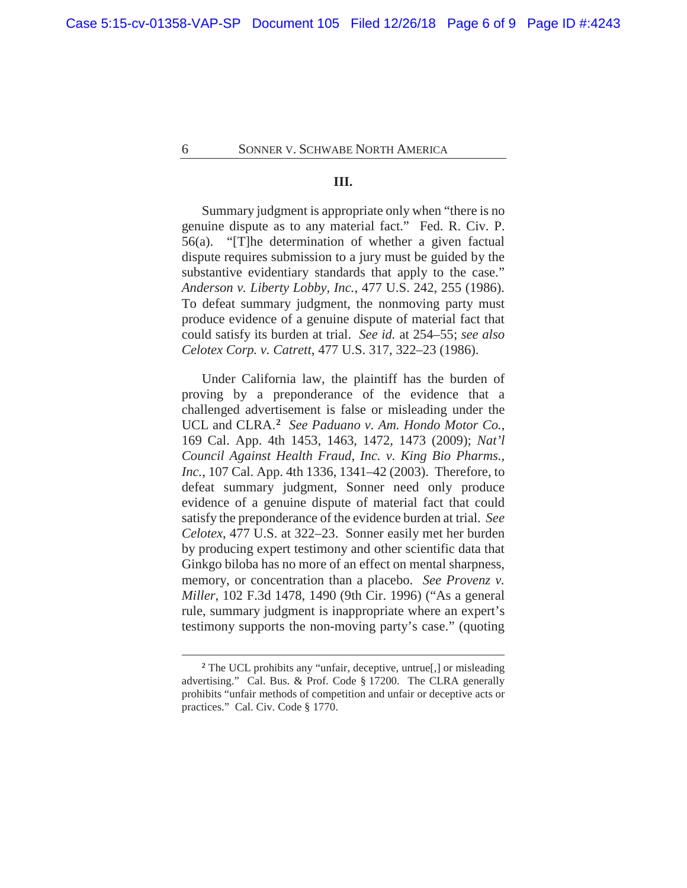#### **III.**

Summary judgment is appropriate only when "there is no genuine dispute as to any material fact." Fed. R. Civ. P. 56(a). "[T]he determination of whether a given factual dispute requires submission to a jury must be guided by the substantive evidentiary standards that apply to the case." *Anderson v. Liberty Lobby, Inc.*, 477 U.S. 242, 255 (1986). To defeat summary judgment, the nonmoving party must produce evidence of a genuine dispute of material fact that could satisfy its burden at trial. *See id.* at 254–55; *see also Celotex Corp. v. Catrett*, 477 U.S. 317, 322–23 (1986).

Under California law, the plaintiff has the burden of proving by a preponderance of the evidence that a challenged advertisement is false or misleading under the UCL and CLRA.**<sup>2</sup>** *See Paduano v. Am. Hondo Motor Co.*, 169 Cal. App. 4th 1453, 1463, 1472, 1473 (2009); *Nat'l Council Against Health Fraud, Inc. v. King Bio Pharms., Inc.*, 107 Cal. App. 4th 1336, 1341–42 (2003). Therefore, to defeat summary judgment, Sonner need only produce evidence of a genuine dispute of material fact that could satisfy the preponderance of the evidence burden at trial. *See Celotex*, 477 U.S. at 322–23. Sonner easily met her burden by producing expert testimony and other scientific data that Ginkgo biloba has no more of an effect on mental sharpness, memory, or concentration than a placebo. *See Provenz v. Miller*, 102 F.3d 1478, 1490 (9th Cir. 1996) ("As a general rule, summary judgment is inappropriate where an expert's testimony supports the non-moving party's case." (quoting

<sup>&</sup>lt;sup>2</sup> The UCL prohibits any "unfair, deceptive, untrue<sup>[1]</sup>, or misleading advertising." Cal. Bus. & Prof. Code § 17200. The CLRA generally prohibits "unfair methods of competition and unfair or deceptive acts or practices." Cal. Civ. Code § 1770.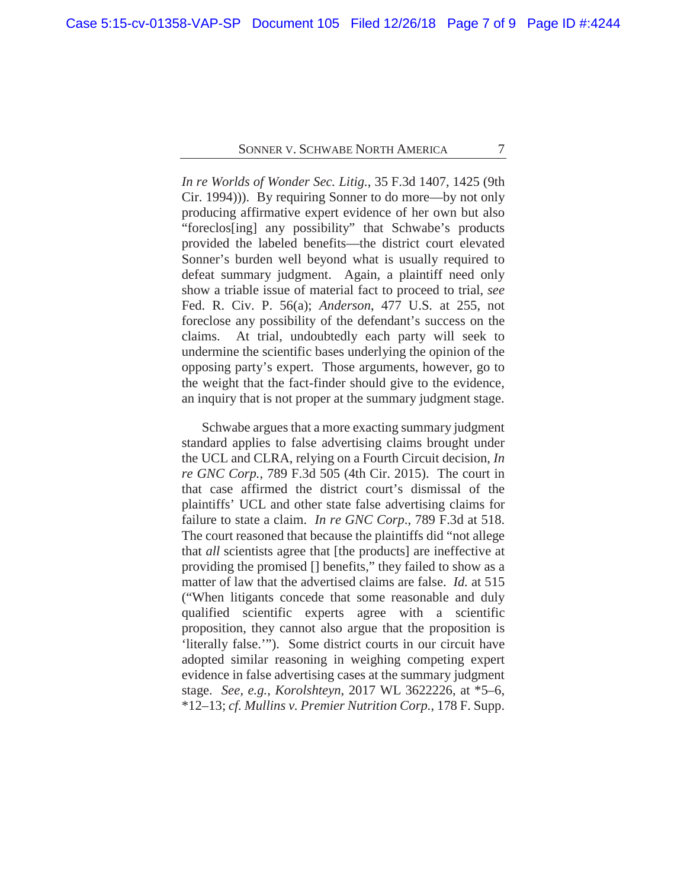*In re Worlds of Wonder Sec. Litig.*, 35 F.3d 1407, 1425 (9th Cir. 1994))). By requiring Sonner to do more—by not only producing affirmative expert evidence of her own but also "foreclos[ing] any possibility" that Schwabe's products provided the labeled benefits—the district court elevated Sonner's burden well beyond what is usually required to defeat summary judgment. Again, a plaintiff need only show a triable issue of material fact to proceed to trial, *see*  Fed. R. Civ. P. 56(a); *Anderson*, 477 U.S*.* at 255, not foreclose any possibility of the defendant's success on the claims. At trial, undoubtedly each party will seek to undermine the scientific bases underlying the opinion of the opposing party's expert. Those arguments, however, go to the weight that the fact-finder should give to the evidence, an inquiry that is not proper at the summary judgment stage.

Schwabe argues that a more exacting summary judgment standard applies to false advertising claims brought under the UCL and CLRA, relying on a Fourth Circuit decision, *In re GNC Corp.*, 789 F.3d 505 (4th Cir. 2015). The court in that case affirmed the district court's dismissal of the plaintiffs' UCL and other state false advertising claims for failure to state a claim. *In re GNC Corp*., 789 F.3d at 518. The court reasoned that because the plaintiffs did "not allege that *all* scientists agree that [the products] are ineffective at providing the promised [] benefits," they failed to show as a matter of law that the advertised claims are false. *Id.* at 515 ("When litigants concede that some reasonable and duly qualified scientific experts agree with a scientific proposition, they cannot also argue that the proposition is 'literally false.'"). Some district courts in our circuit have adopted similar reasoning in weighing competing expert evidence in false advertising cases at the summary judgment stage. *See, e.g.*, *Korolshteyn*, 2017 WL 3622226, at \*5–6, \*12–13; *cf. Mullins v. Premier Nutrition Corp.*, 178 F. Supp.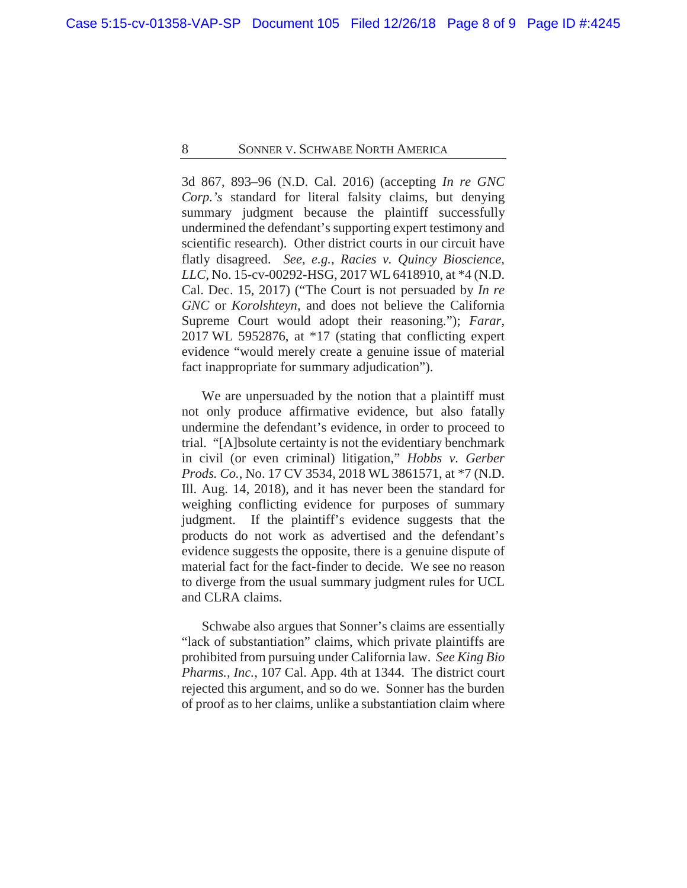3d 867, 893–96 (N.D. Cal. 2016) (accepting *In re GNC Corp.'s* standard for literal falsity claims, but denying summary judgment because the plaintiff successfully undermined the defendant's supporting expert testimony and scientific research). Other district courts in our circuit have flatly disagreed. *See, e.g.*, *Racies v. Quincy Bioscience, LLC*, No. 15-cv-00292-HSG, 2017 WL 6418910, at \*4 (N.D. Cal. Dec. 15, 2017) ("The Court is not persuaded by *In re GNC* or *Korolshteyn*, and does not believe the California Supreme Court would adopt their reasoning."); *Farar*, 2017 WL 5952876, at \*17 (stating that conflicting expert evidence "would merely create a genuine issue of material fact inappropriate for summary adjudication").

We are unpersuaded by the notion that a plaintiff must not only produce affirmative evidence, but also fatally undermine the defendant's evidence, in order to proceed to trial. "[A]bsolute certainty is not the evidentiary benchmark in civil (or even criminal) litigation," *Hobbs v. Gerber Prods. Co.*, No. 17 CV 3534, 2018 WL 3861571, at \*7 (N.D. Ill. Aug. 14, 2018), and it has never been the standard for weighing conflicting evidence for purposes of summary judgment. If the plaintiff's evidence suggests that the products do not work as advertised and the defendant's evidence suggests the opposite, there is a genuine dispute of material fact for the fact-finder to decide. We see no reason to diverge from the usual summary judgment rules for UCL and CLRA claims.

Schwabe also argues that Sonner's claims are essentially "lack of substantiation" claims, which private plaintiffs are prohibited from pursuing under California law. *See King Bio Pharms., Inc.,* 107 Cal. App. 4th at 1344. The district court rejected this argument, and so do we. Sonner has the burden of proof as to her claims, unlike a substantiation claim where